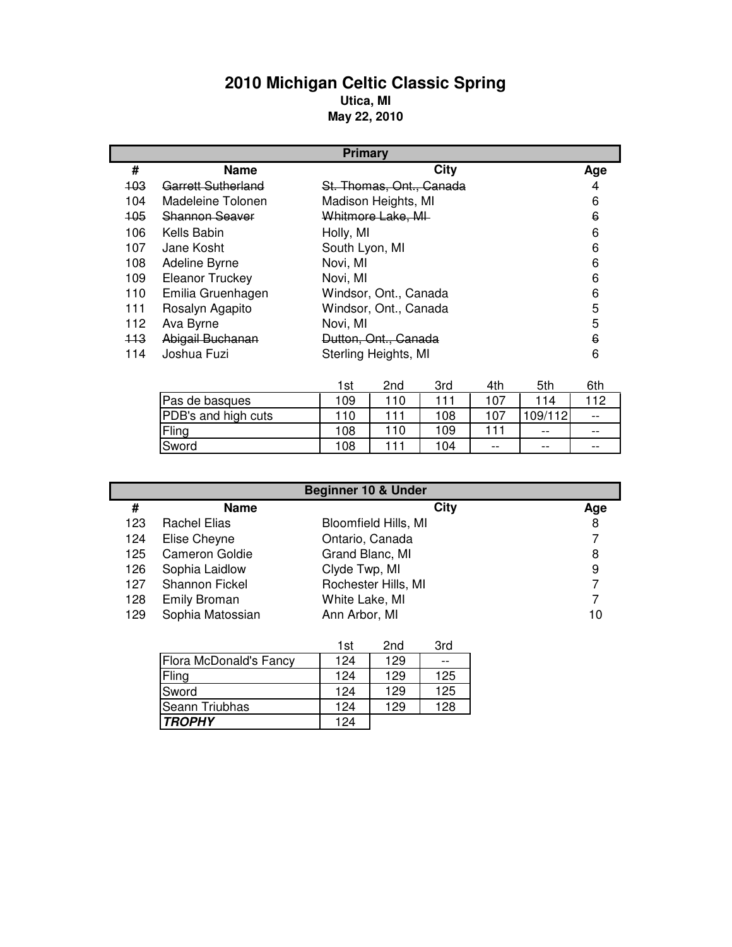## **2010 Michigan Celtic Classic Spring Utica, MI May 22, 2010**

|                  | <b>Primary</b>         |                          |     |  |
|------------------|------------------------|--------------------------|-----|--|
| #                | <b>Name</b>            | City                     | Age |  |
| $+03$            | Garrett Sutherland     | St. Thomas, Ont., Canada | 4   |  |
| 104              | Madeleine Tolonen      | Madison Heights, MI      | 6   |  |
| 105 <sub>1</sub> | Shannon Seaver         | Whitmore Lake, MI-       | 6   |  |
| 106              | Kells Babin            | Holly, MI                | 6   |  |
| 107              | Jane Kosht             | South Lyon, MI           | 6   |  |
| 108              | Adeline Byrne          | Novi, MI                 | 6   |  |
| 109              | <b>Eleanor Truckey</b> | Novi, MI                 | 6   |  |
| 110              | Emilia Gruenhagen      | Windsor, Ont., Canada    | 6   |  |
| 111              | Rosalyn Agapito        | Windsor, Ont., Canada    | 5   |  |
| 112              | Ava Byrne              | Novi, MI                 | 5   |  |
| 113              | Abigail Buchanan       | Dutton, Ont., Canada     | 6   |  |
| 114              | Joshua Fuzi            | Sterling Heights, MI     | 6   |  |

|                     | 1st | 2nd | 3rd | 4th   | 5th      | 6th   |
|---------------------|-----|-----|-----|-------|----------|-------|
| Pas de basques      | 109 | 110 | 111 | 107   | 114      | 112   |
| PDB's and high cuts | 10  | 11  | 108 | 107   | 109/1121 | $- -$ |
| Fling               | 108 | 110 | 109 | 111   | $- -$    | $- -$ |
| Sword               | 108 |     | 104 | $- -$ | $- -$    | $- -$ |

| <b>Beginner 10 &amp; Under</b> |                       |                             |     |
|--------------------------------|-----------------------|-----------------------------|-----|
| #                              | <b>Name</b>           | City                        | Age |
| 123                            | <b>Rachel Elias</b>   | <b>Bloomfield Hills, MI</b> | 8   |
| 124                            | Elise Cheyne          | Ontario, Canada             |     |
| 125                            | <b>Cameron Goldie</b> | Grand Blanc, MI             | 8   |
| 126                            | Sophia Laidlow        | Clyde Twp, MI               | 9   |
| 127                            | Shannon Fickel        | Rochester Hills, MI         |     |
| 128                            | <b>Emily Broman</b>   | White Lake, MI              |     |
| 129                            | Sophia Matossian      | Ann Arbor, MI               | 10  |

|                               | 1st | 2nd | 3rd |
|-------------------------------|-----|-----|-----|
| <b>Flora McDonald's Fancy</b> | 124 | 129 |     |
| Fling                         | 124 | 129 | 125 |
| Sword                         | 124 | 129 | 125 |
| <b>Seann Triubhas</b>         | 124 | 129 | 128 |
| <b>TROPHY</b>                 | 124 |     |     |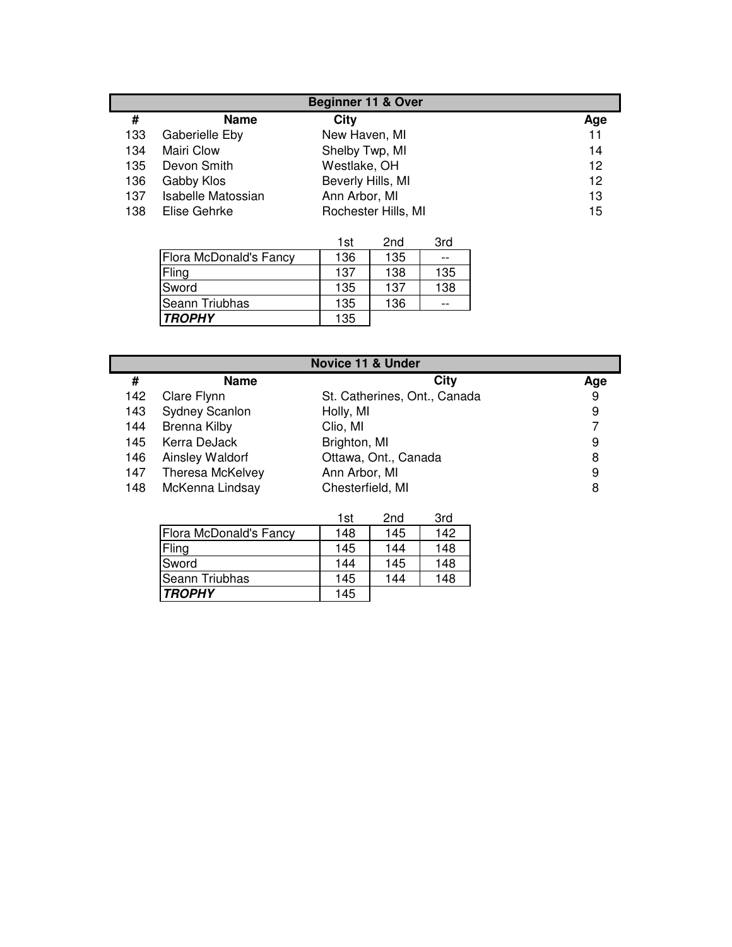| <b>Beginner 11 &amp; Over</b> |                           |                     |     |
|-------------------------------|---------------------------|---------------------|-----|
| #                             | <b>Name</b>               | City                | Age |
| 133                           | Gaberielle Eby            | New Haven, MI       | 11  |
| 134                           | <b>Mairi Clow</b>         | Shelby Twp, MI      | 14  |
| 135                           | Devon Smith               | Westlake, OH        | 12  |
| 136                           | Gabby Klos                | Beverly Hills, MI   | 12  |
| 137                           | <b>Isabelle Matossian</b> | Ann Arbor, MI       | 13  |
| 138                           | Elise Gehrke              | Rochester Hills, MI | 15  |

|                        | 1st | 2 <sub>nd</sub> | 3rd |
|------------------------|-----|-----------------|-----|
| Flora McDonald's Fancy | 136 | 135             | --  |
| Fling                  | 137 | 138             | 135 |
| Sword                  | 135 | 137             | 138 |
| <b>Seann Triubhas</b>  | 135 | 136             |     |
| <b>TROPHY</b>          | 135 |                 |     |

|     | <b>Novice 11 &amp; Under</b> |                              |     |  |
|-----|------------------------------|------------------------------|-----|--|
| #   | <b>Name</b>                  | City                         | Age |  |
| 142 | Clare Flynn                  | St. Catherines, Ont., Canada | 9   |  |
| 143 | <b>Sydney Scanlon</b>        | Holly, MI                    | 9   |  |
| 144 | <b>Brenna Kilby</b>          | Clio, MI                     |     |  |
| 145 | Kerra DeJack                 | Brighton, MI                 | 9   |  |
| 146 | Ainsley Waldorf              | Ottawa, Ont., Canada         | 8   |  |
| 147 | Theresa McKelvey             | Ann Arbor, MI                | 9   |  |
| 148 | McKenna Lindsay              | Chesterfield, MI             | 8   |  |

|                        | 1st | 2nd | 3rd |
|------------------------|-----|-----|-----|
| Flora McDonald's Fancy | 148 | 145 | 142 |
| Fling                  | 145 | 144 | 148 |
| Sword                  | 144 | 145 | 148 |
| Seann Triubhas         | 145 | 144 | 148 |
| <b>TROPHY</b>          | 145 |     |     |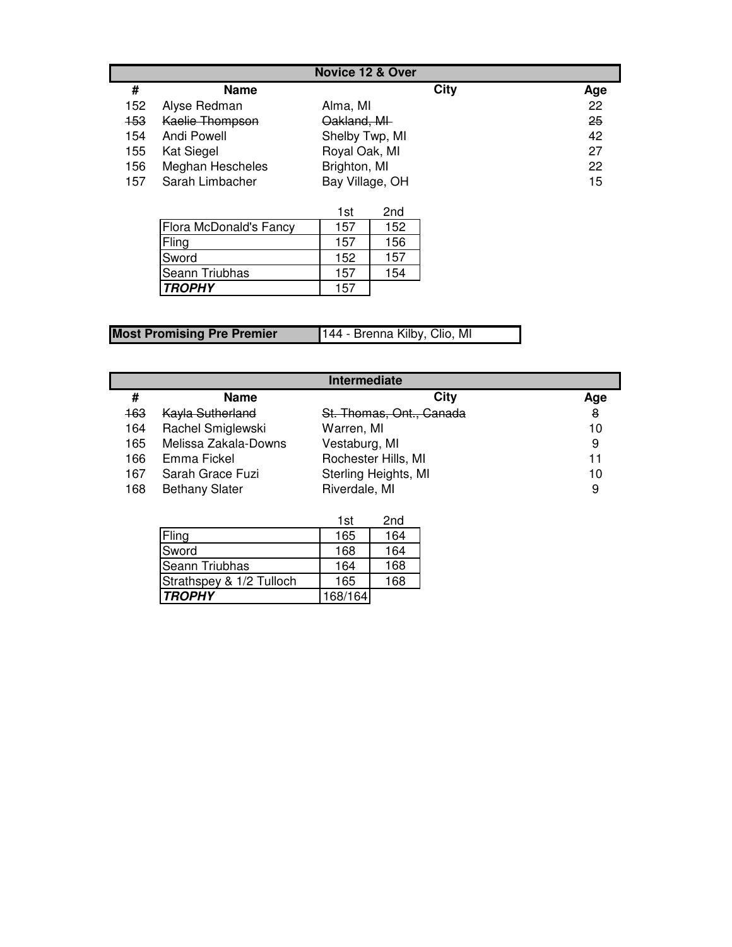|     | <b>Novice 12 &amp; Over</b> |                 |     |  |
|-----|-----------------------------|-----------------|-----|--|
| #   | <b>Name</b>                 | City            | Age |  |
| 152 | Alyse Redman                | Alma, MI        | 22  |  |
| 153 | Kaelie Thompson             | Oakland, MI     | 25  |  |
| 154 | Andi Powell                 | Shelby Twp, MI  | 42  |  |
| 155 | <b>Kat Siegel</b>           | Royal Oak, MI   | 27  |  |
| 156 | Meghan Hescheles            | Brighton, MI    | 22  |  |
| 157 | Sarah Limbacher             | Bay Village, OH | 15  |  |

|                               | 1st | 2 <sub>nd</sub> |
|-------------------------------|-----|-----------------|
| <b>Flora McDonald's Fancy</b> | 157 | 152             |
| Fling                         | 157 | 156             |
| Sword                         | 152 | 157             |
| <b>Seann Triubhas</b>         | 157 | 154             |
| <b>TROPHY</b>                 | 157 |                 |

| <b>Most Promising Pre Premier</b> | 144 - Brenna Kilby, Clio, MI |
|-----------------------------------|------------------------------|

| Intermediate |                       |                          |     |
|--------------|-----------------------|--------------------------|-----|
| #            | <b>Name</b>           | City                     | Age |
| 163          | Kayla Sutherland      | St. Thomas, Ont., Canada | 8   |
| 164          | Rachel Smiglewski     | Warren, MI               | 10  |
| 165          | Melissa Zakala-Downs  | Vestaburg, MI            | 9   |
| 166          | Emma Fickel           | Rochester Hills, MI      | 11  |
| 167          | Sarah Grace Fuzi      | Sterling Heights, MI     | 10  |
| 168          | <b>Bethany Slater</b> | Riverdale, MI            | 9   |

|                          | 1st     | 2 <sub>nd</sub> |
|--------------------------|---------|-----------------|
| Fling                    | 165     | 164             |
| Sword                    | 168     | 164             |
| <b>Seann Triubhas</b>    | 164     | 168             |
| Strathspey & 1/2 Tulloch | 165     | 168             |
| <b>TROPHY</b>            | 168/164 |                 |